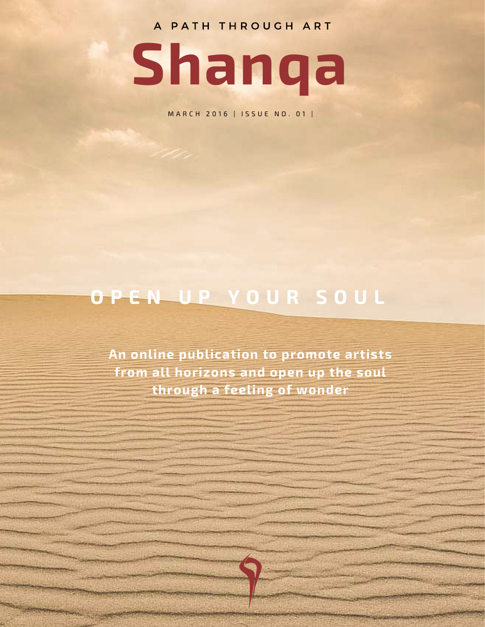A PATH THROUGH ART



M A R C H 2 0 16 | ISSUE NO. 01 |

### O P E N U P Y O U R S O U L

An online publication to promote artists from all horizons and open up the soul through a feeling of wonder

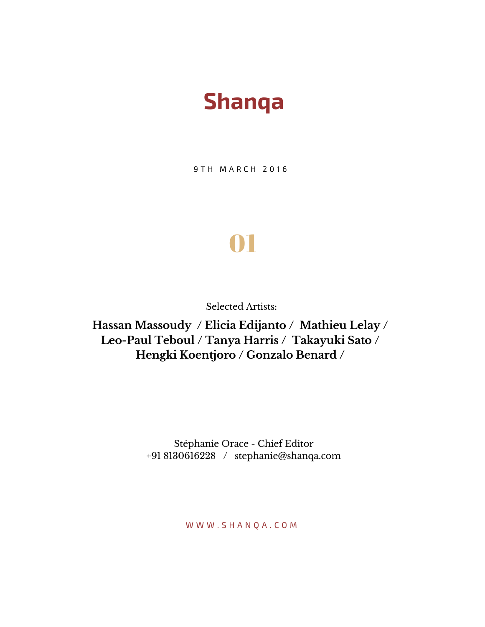## Shanqa

9 T H M A R C H 2 0 1 6

# 01

Selected Artists:

**Hassan Massoudy / Elicia Edijanto / Mathieu Lelay / Leo-Paul Teboul / Tanya Harris / Takayuki Sato / Hengki Koentjoro / Gonzalo Benard /**

> Stéphanie Orace - Chief Editor +91 8130616228 / stephanie@shanqa.com

> > W W W . S H A N Q A . C O M